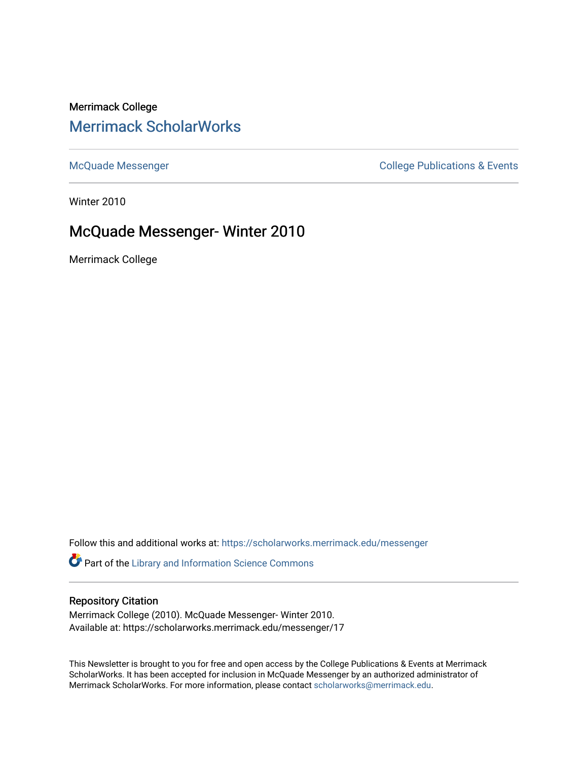## Merrimack College [Merrimack ScholarWorks](https://scholarworks.merrimack.edu/)

[McQuade Messenger](https://scholarworks.merrimack.edu/messenger) College Publications & Events

Winter 2010

## McQuade Messenger- Winter 2010

Merrimack College

Follow this and additional works at: [https://scholarworks.merrimack.edu/messenger](https://scholarworks.merrimack.edu/messenger?utm_source=scholarworks.merrimack.edu%2Fmessenger%2F17&utm_medium=PDF&utm_campaign=PDFCoverPages) 

Part of the [Library and Information Science Commons](http://network.bepress.com/hgg/discipline/1018?utm_source=scholarworks.merrimack.edu%2Fmessenger%2F17&utm_medium=PDF&utm_campaign=PDFCoverPages) 

### Repository Citation

Merrimack College (2010). McQuade Messenger- Winter 2010. Available at: https://scholarworks.merrimack.edu/messenger/17

This Newsletter is brought to you for free and open access by the College Publications & Events at Merrimack ScholarWorks. It has been accepted for inclusion in McQuade Messenger by an authorized administrator of Merrimack ScholarWorks. For more information, please contact [scholarworks@merrimack.edu](mailto:scholarworks@merrimack.edu).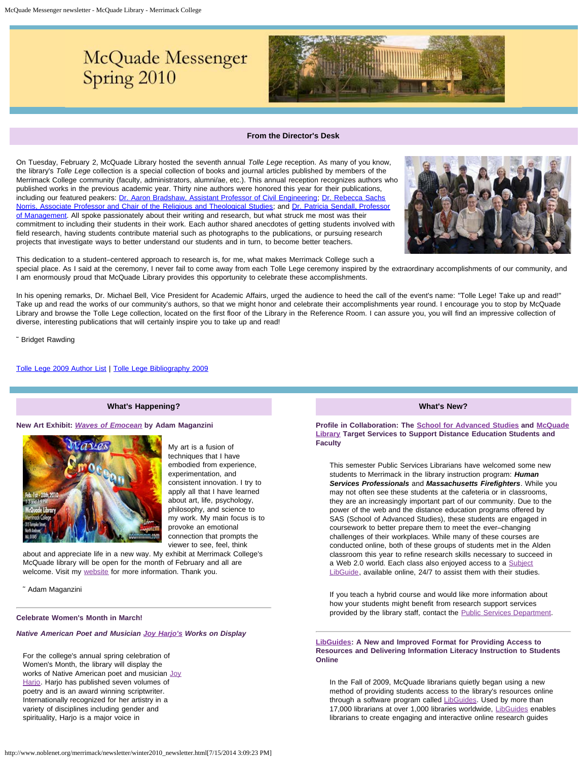# McQuade Messenger Spring 2010



#### **From the Director's Desk**

<span id="page-1-0"></span>On Tuesday, February 2, McQuade Library hosted the seventh annual *Tolle Lege* reception. As many of you know, the library's *Tolle Lege* collection is a special collection of books and journal articles published by members of the Merrimack College community (faculty, administrators, alumni/ae, etc.). This annual reception recognizes authors who published works in the previous academic year. Thirty nine authors were honored this year for their publications, including our featured peakers: [Dr. Aaron Bradshaw, Assistant Professor of Civil Engineering;](http://www.merrimack.edu/academics/science_engineering/civil_engineering/MeetFacultyStaff/Pages/AaronBradshaw.aspx) [Dr. Rebecca Sachs](http://www.merrimack.edu/academics/liberal_arts/ReligiousTheologicalStudies/MeetFacultyStaff/Pages/fac_RebeccaSachsNorris.aspx) [Norris, Associate Professor and Chair of the Religious and Theological Studies;](http://www.merrimack.edu/academics/liberal_arts/ReligiousTheologicalStudies/MeetFacultyStaff/Pages/fac_RebeccaSachsNorris.aspx) and [Dr. Patricia Sendall, Professor](http://www.merrimack.edu/academics/business/Management/MeetFacultyStaff/Pages/fac_PatriciaSendall.aspx) [of Management.](http://www.merrimack.edu/academics/business/Management/MeetFacultyStaff/Pages/fac_PatriciaSendall.aspx) All spoke passionately about their writing and research, but what struck me most was their commitment to including their students in their work. Each author shared anecdotes of getting students involved with field research, having students contribute material such as photographs to the publications, or pursuing research projects that investigate ways to better understand our students and in turn, to become better teachers.



This dedication to a student–centered approach to research is, for me, what makes Merrimack College such a special place. As I said at the ceremony, I never fail to come away from each Tolle Lege ceremony inspired by the extraordinary accomplishments of our community, and I am enormously proud that McQuade Library provides this opportunity to celebrate these accomplishments.

In his opening remarks, Dr. Michael Bell, Vice President for Academic Affairs, urged the audience to heed the call of the event's name: "Tolle Lege! Take up and read!" Take up and read the works of our community's authors, so that we might honor and celebrate their accomplishments year round. I encourage you to stop by McQuade Library and browse the Tolle Lege collection, located on the first floor of the Library in the Reference Room. I can assure you, you will find an impressive collection of diverse, interesting publications that will certainly inspire you to take up and read!

˜ Bridget Rawding

[Tolle Lege 2009 Author List](http://www.noblenet.org/merrimack/booklists/tlauthors2009.html) | [Tolle Lege Bibliography 2009](http://www.noblenet.org/merrimack/booklists/2009TL.pdf)

#### **What's Happening?**

#### **New Art Exhibit:** *[Waves of Emocean](http://adammmm.com/adammmm/emocean.html)* **by Adam Maganzini**



My art is a fusion of techniques that I have embodied from experience, experimentation, and consistent innovation. I try to apply all that I have learned about art, life, psychology, philosophy, and science to my work. My main focus is to provoke an emotional connection that prompts the viewer to see, feel, think

about and appreciate life in a new way. My exhibit at Merrimack College's McQuade library will be open for the month of February and all are welcome. Visit my [website](http://adammmm.com/adammmm/AdaMaganzini.html) for more information. Thank you.

˜ Adam Maganzini

#### **Celebrate Women's Month in March!**

*Native American Poet and Musician [Joy Harjo's](http://www.joyharjo.com/Home.html) Works on Display*

For the college's annual spring celebration of Women's Month, the library will display the works of Native American poet and musician [Joy](http://joyharjo.blogspot.com/) Hario. [Harjo](http://joyharjo.blogspot.com/) has published seven volumes of poetry and is an award winning scriptwriter. Internationally recognized for her artistry in a variety of disciplines including gender and spirituality, Harjo is a major voice in

**What's New?**

**Profile in Collaboration: The [School for Advanced Studies](http://www.merrimack.edu/academics/gcpe/Pages/default.aspx) and [McQuade](http://www.noblenet.org/merrimack/) [Library](http://www.noblenet.org/merrimack/) Target Services to Support Distance Education Students and Faculty**

This semester Public Services Librarians have welcomed some new students to Merrimack in the library instruction program: *Human Services Professionals* and *Massachusetts Firefighters*. While you may not often see these students at the cafeteria or in classrooms, they are an increasingly important part of our community. Due to the power of the web and the distance education programs offered by SAS (School of Advanced Studies), these students are engaged in coursework to better prepare them to meet the ever–changing challenges of their workplaces. While many of these courses are conducted online, both of these groups of students met in the Alden classroom this year to refine research skills necessary to succeed in a Web 2.0 world. Each class also enjoyed access to a [Subject](http://www.noblenet.org/merrimack/subject.htm) [LibGuide](http://www.noblenet.org/merrimack/subject.htm), available online, 24/7 to assist them with their studies.

If you teach a hybrid course and would like more information about how your students might benefit from research support services provided by the library staff, contact the [Public Services Department](http://www.noblenet.org/merrimack/depts.htm#ref).

**[LibGuides:](http://libguides.merrimack.edu/index.php) A New and Improved Format for Providing Access to Resources and Delivering Information Literacy Instruction to Students Online**

In the Fall of 2009, McQuade librarians quietly began using a new method of providing students access to the library's resources online through a software program called [LibGuides](http://libguides.merrimack.edu/index.php). Used by more than 17,000 librarians at over 1,000 libraries worldwide, [LibGuides](http://libguides.merrimack.edu/index.php) enables librarians to create engaging and interactive online research guides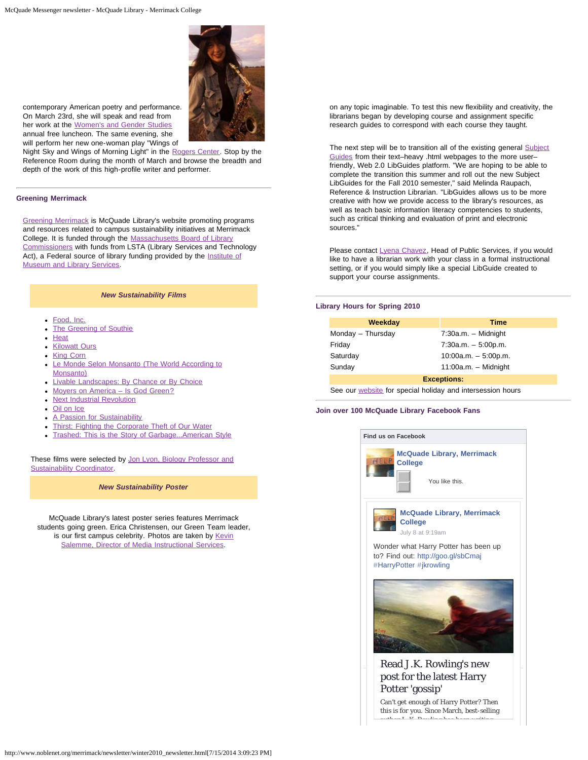

contemporary American poetry and performance. On March 23rd, she will speak and read from her work at the [Women's and Gender Studies](http://www.merrimack.edu/about/offices_services/PublicRelationsMarketing/news/Pages/Award-WinningNativeAmericanPoetMusicianComingtoMerrimack.aspx) annual free luncheon. The same evening, she will perform her new one-woman play "Wings of

Night Sky and Wings of Morning Light" in the [Rogers Center](http://www.merrimack.edu/community/Rogers/Pages/default.aspx). Stop by the Reference Room during the month of March and browse the breadth and depth of the work of this high-profile writer and performer.

#### **Greening Merrimack**

[Greening Merrimack](http://www.noblenet.org/merrimack/green/campus-sustainability-initiative/) is McQuade Library's website promoting programs and resources related to campus sustainability initiatives at Merrimack College. It is funded through the [Massachusetts Board of Library](http://mblc.state.ma.us/) [Commissioners](http://mblc.state.ma.us/) with funds from LSTA (Library Services and Technology Act), a Federal source of library funding provided by the [Institute of](http://www.imls.gov/) [Museum and Library Services.](http://www.imls.gov/)

#### *New Sustainability Films*

- [Food, Inc.](http://innopac.noblenet.org/record=b2753478)
- [The Greening of Southie](http://innopac.noblenet.org/record=b2691014)
- [Heat](http://innopac.noblenet.org/record=b2686211)
- **[Kilowatt Ours](http://catalog.noblenet.org/record=b2758222)**
- [King Corn](http://catalog.noblenet.org/record=b2653441)
- [Le Monde Selon Monsanto \(The World According to](http://innopac.noblenet.org/record=b2709298) [Monsanto\)](http://innopac.noblenet.org/record=b2709298)
- [Livable Landscapes: By Chance or By Choice](http://innopac.noblenet.org/record=b2861323)
- Moyers on America Is God Green?
- [Next Industrial Revolution](http://innopac.noblenet.org/record=b2411781)
- [Oil on Ice](http://catalog.noblenet.org/record=b2758221)
- **[A Passion for Sustainability](http://catalog.noblenet.org/record=b2758223)**
- [Thirst: Fighting the Corporate Theft of Our Water](http://catalog.noblenet.org/record=b2390518)
- [Trashed: This is the Story of Garbage...American Style](http://innopac.noblenet.org/record=b2758224)

These films were selected by [Jon Lyon, Biology Professor and](http://www.merrimack.edu/academics/science_engineering/Biology/MeetFacultyStaff/Lyon_Personal/Pages/default.aspx) **[Sustainability Coordinator](http://www.merrimack.edu/academics/science_engineering/Biology/MeetFacultyStaff/Lyon_Personal/Pages/default.aspx).** 

*New Sustainability Poster*

McQuade Library's latest poster series features Merrimack students going green. Erica Christensen, our Green Team leader, is our first campus celebrity. Photos are taken by [Kevin](mailto:kevin.salemme@merrimack.edu) [Salemme, Director of Media Instructional Services](mailto:kevin.salemme@merrimack.edu).

on any topic imaginable. To test this new flexibility and creativity, the librarians began by developing course and assignment specific research guides to correspond with each course they taught.

The next step will be to transition all of the existing general **[Subject](http://www.noblenet.org/merrimack/subject.htm)** [Guides](http://www.noblenet.org/merrimack/subject.htm) from their text–heavy .html webpages to the more user– friendly, Web 2.0 LibGuides platform. "We are hoping to be able to complete the transition this summer and roll out the new Subject LibGuides for the Fall 2010 semester," said Melinda Raupach, Reference & Instruction Librarian. "LibGuides allows us to be more creative with how we provide access to the library's resources, as well as teach basic information literacy competencies to students, such as critical thinking and evaluation of print and electronic sources."

Please contact [Lyena Chavez](mailto:chavezl@merrimack.edu), Head of Public Services, if you would like to have a librarian work with your class in a formal instructional setting, or if you would simply like a special LibGuide created to support your course assignments.

#### **Library Hours for Spring 2010**

| Weekday            | <b>Time</b>            |
|--------------------|------------------------|
| Monday - Thursday  | $7:30a.m. - Midnight$  |
| Friday             | $7:30a.m. - 5:00p.m.$  |
| Saturday           | $10:00a.m. - 5:00p.m.$ |
| Sunday             | $11:00a.m. - Midnight$ |
| <b>Exceptions:</b> |                        |

See our [website](http://www.noblenet.org/merrimack/hours.htm) for special holiday and intersession hours

#### **Join over 100 McQuade Library Facebook Fans**





 $\parallel$  [post for the latest Harry](http://www.facebook.com/l.php?u=http%3A%2F%2Fgoo.gl%2FsbCmaj&h=KAQEhICWl&s=1)  $\Box$ 268 people like McQuade Library, Merriman McQuade Library, Merriman McQuade Library, McQuade Library, McQuade Library, McQuade Library, McQuade Library, McQuade Library, McQuade Library, McQuade Library, McQuade Libra [Potter 'gossip'](http://www.facebook.com/l.php?u=http%3A%2F%2Fgoo.gl%2FsbCmaj&h=KAQEhICWl&s=1) [Read J.K. Rowling](http://www.facebook.com/l.php?u=http%3A%2F%2Fgoo.gl%2FsbCmaj&h=hAQGmkIB1AQGRj7nV6l03U8PUaMWUgTSJyoRwGddQ9R0oUw&enc=AZPU0122OLGV9thYyK2SBfrMwC8uYomSwVI601r2ZSe5RF1PekwtY0fVSGuqmEX67vemldwXkrlZ_F8W1cpkncA2oKvl3tNo0AxR1dDJBmxlxXUOtGn6aU1-vF1wgrkzRhY&s=1)['](http://www.facebook.com/l.php?u=http%3A%2F%2Fgoo.gl%2FsbCmaj&h=KAQEhICWl&s=1)[s new](http://www.facebook.com/l.php?u=http%3A%2F%2Fgoo.gl%2FsbCmaj&h=hAQGmkIB1AQGRj7nV6l03U8PUaMWUgTSJyoRwGddQ9R0oUw&enc=AZPU0122OLGV9thYyK2SBfrMwC8uYomSwVI601r2ZSe5RF1PekwtY0fVSGuqmEX67vemldwXkrlZ_F8W1cpkncA2oKvl3tNo0AxR1dDJBmxlxXUOtGn6aU1-vF1wgrkzRhY&s=1)

Can't get enough of Harry Potter? Then this is for you. Since March, best-selling  $\frac{1}{1 + \frac{1}{2}}$  K Rowling has been